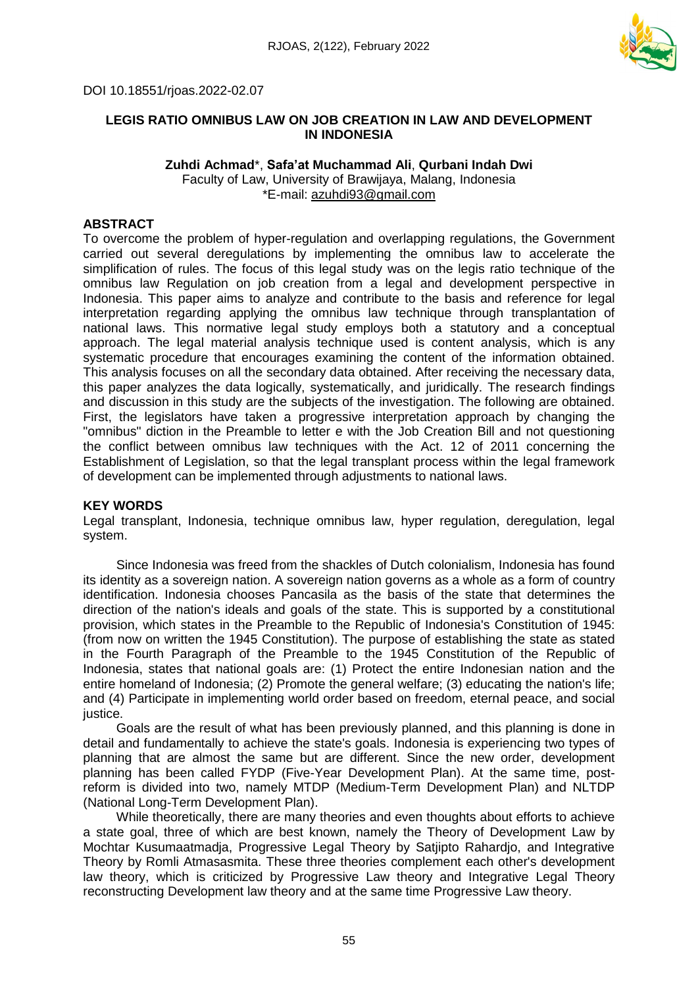

## DOI 10.18551/rjoas.2022-02.07

#### **LEGIS RATIO OMNIBUS LAW ON JOB CREATION IN LAW AND DEVELOPMENT IN INDONESIA**

#### **Zuhdi Achmad**\*, **Safa'at Muchammad Ali**, **Qurbani Indah Dwi** Faculty of Law, University of Brawijaya, Malang, Indonesia \*E-mail: azuhdi93@gmail.com

## **ABSTRACT**

To overcome the problem of hyper-regulation and overlapping regulations, the Government carried out several deregulations by implementing the omnibus law to accelerate the simplification of rules. The focus of this legal study was on the legis ratio technique of the omnibus law Regulation on job creation from a legal and development perspective in Indonesia. This paper aims to analyze and contribute to the basis and reference for legal interpretation regarding applying the omnibus law technique through transplantation of national laws. This normative legal study employs both a statutory and a conceptual approach. The legal material analysis technique used is content analysis, which is any systematic procedure that encourages examining the content of the information obtained. This analysis focuses on all the secondary data obtained. After receiving the necessary data, this paper analyzes the data logically, systematically, and juridically. The research findings and discussion in this study are the subjects of the investigation. The following are obtained. First, the legislators have taken a progressive interpretation approach by changing the "omnibus" diction in the Preamble to letter e with the Job Creation Bill and not questioning the conflict between omnibus law techniques with the Act. 12 of 2011 concerning the Establishment of Legislation, so that the legal transplant process within the legal framework of development can be implemented through adjustments to national laws.

## **KEY WORDS**

Legal transplant, Indonesia, technique omnibus law, hyper regulation, deregulation, legal system.

Since Indonesia was freed from the shackles of Dutch colonialism, Indonesia has found its identity as a sovereign nation. A sovereign nation governs as a whole as a form of country identification. Indonesia chooses Pancasila as the basis of the state that determines the direction of the nation's ideals and goals of the state. This is supported by a constitutional provision, which states in the Preamble to the Republic of Indonesia's Constitution of 1945: (from now on written the 1945 Constitution). The purpose of establishing the state as stated in the Fourth Paragraph of the Preamble to the 1945 Constitution of the Republic of Indonesia, states that national goals are: (1) Protect the entire Indonesian nation and the entire homeland of Indonesia; (2) Promote the general welfare; (3) educating the nation's life; and (4) Participate in implementing world order based on freedom, eternal peace, and social justice.

Goals are the result of what has been previously planned, and this planning is done in detail and fundamentally to achieve the state's goals. Indonesia is experiencing two types of planning that are almost the same but are different. Since the new order, development planning has been called FYDP (Five-Year Development Plan). At the same time, postreform is divided into two, namely MTDP (Medium-Term Development Plan) and NLTDP (National Long-Term Development Plan).

While theoretically, there are many theories and even thoughts about efforts to achieve a state goal, three of which are best known, namely the Theory of Development Law by Mochtar Kusumaatmadja, Progressive Legal Theory by Satjipto Rahardjo, and Integrative Theory by Romli Atmasasmita. These three theories complement each other's development law theory, which is criticized by Progressive Law theory and Integrative Legal Theory reconstructing Development law theory and at the same time Progressive Law theory.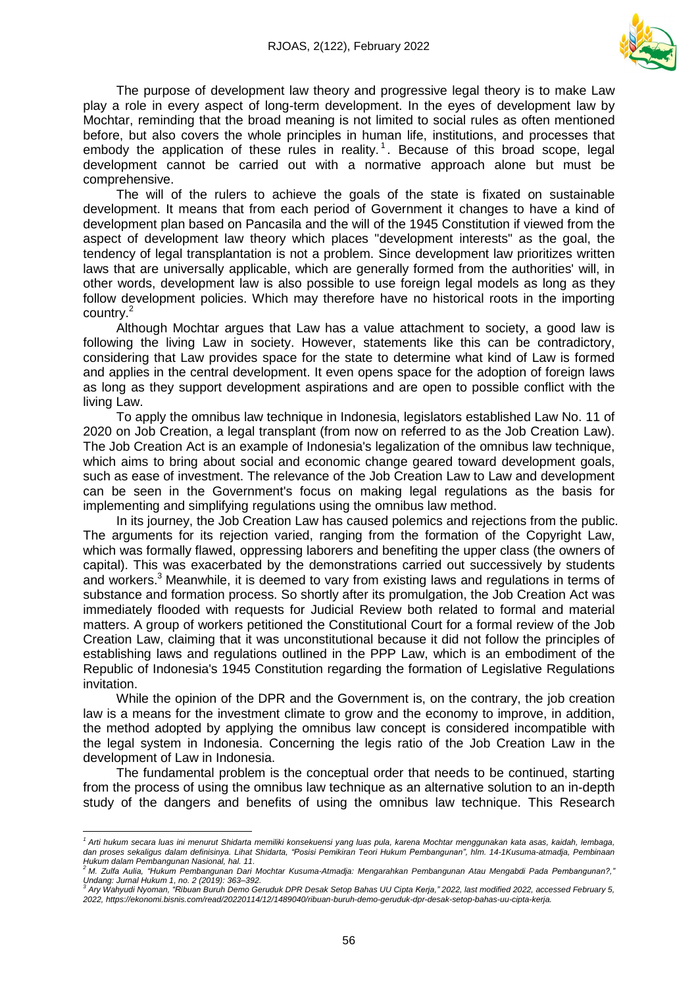

The purpose of development law theory and progressive legal theory is to make Law play a role in every aspect of long-term development. In the eyes of development law by Mochtar, reminding that the broad meaning is not limited to social rules as often mentioned before, but also covers the whole principles in human life, institutions, and processes that embody the application of these rules in reality.<sup>1</sup>. Because of this broad scope, legal development cannot be carried out with a normative approach alone but must be comprehensive.

The will of the rulers to achieve the goals of the state is fixated on sustainable development. It means that from each period of Government it changes to have a kind of development plan based on Pancasila and the will of the 1945 Constitution if viewed from the aspect of development law theory which places "development interests" as the goal, the tendency of legal transplantation is not a problem. Since development law prioritizes written laws that are universally applicable, which are generally formed from the authorities' will, in other words, development law is also possible to use foreign legal models as long as they follow development policies. Which may therefore have no historical roots in the importing country.<sup>2</sup>

Although Mochtar argues that Law has a value attachment to society, a good law is following the living Law in society. However, statements like this can be contradictory, considering that Law provides space for the state to determine what kind of Law is formed and applies in the central development. It even opens space for the adoption of foreign laws as long as they support development aspirations and are open to possible conflict with the living Law.

To apply the omnibus law technique in Indonesia, legislators established Law No. 11 of 2020 on Job Creation, a legal transplant (from now on referred to as the Job Creation Law). The Job Creation Act is an example of Indonesia's legalization of the omnibus law technique, which aims to bring about social and economic change geared toward development goals, such as ease of investment. The relevance of the Job Creation Law to Law and development can be seen in the Government's focus on making legal regulations as the basis for implementing and simplifying regulations using the omnibus law method.

In its journey, the Job Creation Law has caused polemics and rejections from the public. The arguments for its rejection varied, ranging from the formation of the Copyright Law, which was formally flawed, oppressing laborers and benefiting the upper class (the owners of capital). This was exacerbated by the demonstrations carried out successively by students and workers. $3$  Meanwhile, it is deemed to vary from existing laws and regulations in terms of substance and formation process. So shortly after its promulgation, the Job Creation Act was immediately flooded with requests for Judicial Review both related to formal and material matters. A group of workers petitioned the Constitutional Court for a formal review of the Job Creation Law, claiming that it was unconstitutional because it did not follow the principles of establishing laws and regulations outlined in the PPP Law, which is an embodiment of the Republic of Indonesia's 1945 Constitution regarding the formation of Legislative Regulations invitation.

While the opinion of the DPR and the Government is, on the contrary, the job creation law is a means for the investment climate to grow and the economy to improve, in addition, the method adopted by applying the omnibus law concept is considered incompatible with the legal system in Indonesia. Concerning the legis ratio of the Job Creation Law in the development of Law in Indonesia.

The fundamental problem is the conceptual order that needs to be continued, starting from the process of using the omnibus law technique as an alternative solution to an in-depth study of the dangers and benefits of using the omnibus law technique. This Research

 $\overline{a}$ <sup>1</sup> Arti hukum secara luas ini menurut Shidarta memiliki konsekuensi yang luas pula, karena Mochtar menggunakan kata asas, kaidah, lembaga, dan proses sekaligus dalam definisinya. Lihat Shidarta, "Posisi Pemikiran Teori Hukum Pembangunan", hlm. 14-1Kusuma-atmadja, Pembinaan Hukum dalam Pembangunan Nasional, hal. 11.<br><sup>2</sup> M. Zulfa Aulia, "Hukum Pembangunan Dari Mochtar Kusuma-Atmadja: Mengarahkan Pembangunan Atau Mengabdi Pada Pembangunan?,'

*Undang: Jurnal Hukum 1, no. 2 (2019): 363–392.*

Ary Wahyudi Nyoman, "Ribuan Buruh Demo Geruduk DPR Desak Setop Bahas UU Cipta Kerja," 2022, last modified 2022, accessed February 5, *2022, https://ekonomi.bisnis.com/read/20220114/12/1489040/ribuan-buruh-demo-geruduk-dpr-desak-setop-bahas-uu-cipta-kerja.*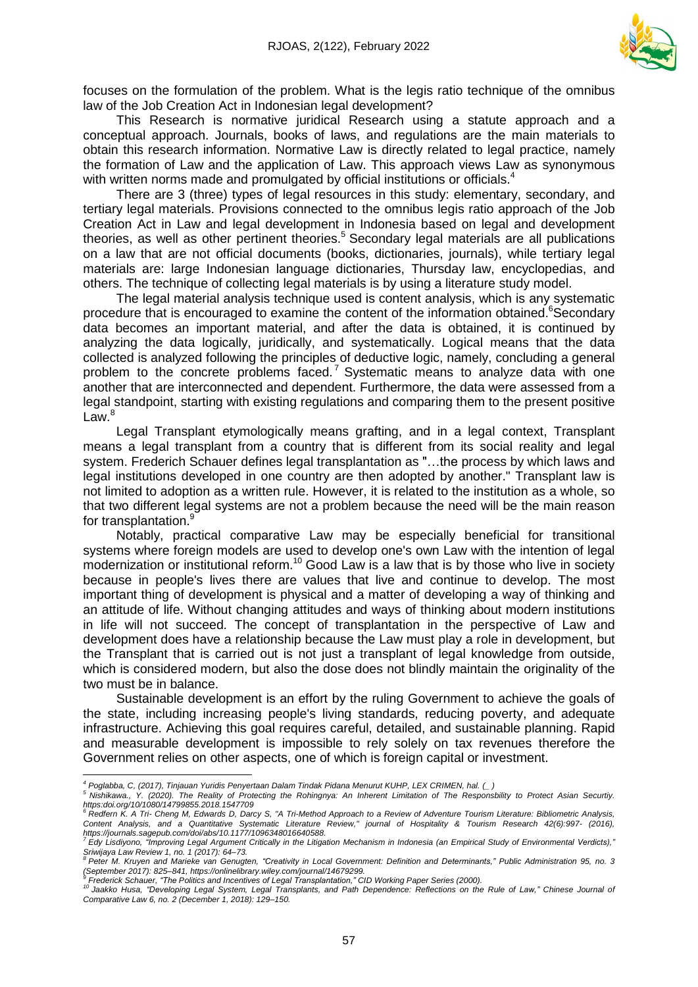

focuses on the formulation of the problem. What is the legis ratio technique of the omnibus law of the Job Creation Act in Indonesian legal development?

This Research is normative juridical Research using a statute approach and a conceptual approach. Journals, books of laws, and regulations are the main materials to obtain this research information. Normative Law is directly related to legal practice, namely the formation of Law and the application of Law. This approach views Law as synonymous with written norms made and promulgated by official institutions or officials.<sup>4</sup>

There are 3 (three) types of legal resources in this study: elementary, secondary, and tertiary legal materials. Provisions connected to the omnibus legis ratio approach of the Job Creation Act in Law and legal development in Indonesia based on legal and development theories, as well as other pertinent theories.<sup>5</sup> Secondary legal materials are all publications on a law that are not official documents (books, dictionaries, journals), while tertiary legal materials are: large Indonesian language dictionaries, Thursday law, encyclopedias, and others. The technique of collecting legal materials is by using a literature study model.

The legal material analysis technique used is content analysis, which is any systematic procedure that is encouraged to examine the content of the information obtained.<sup>6</sup>Secondary data becomes an important material, and after the data is obtained, it is continued by analyzing the data logically, juridically, and systematically. Logical means that the data collected is analyzed following the principles of deductive logic, namely, concluding a general problem to the concrete problems faced.<sup>7</sup> Systematic means to analyze data with one another that are interconnected and dependent. Furthermore, the data were assessed from a legal standpoint, starting with existing regulations and comparing them to the present positive  $Law<sup>8</sup>$ 

Legal Transplant etymologically means grafting, and in a legal context, Transplant means a legal transplant from a country that is different from its social reality and legal system. Frederich Schauer defines legal transplantation as "…the process by which laws and legal institutions developed in one country are then adopted by another." Transplant law is not limited to adoption as a written rule. However, it is related to the institution as a whole, so that two different legal systems are not a problem because the need will be the main reason for transplantation.<sup>9</sup>

Notably, practical comparative Law may be especially beneficial for transitional systems where foreign models are used to develop one's own Law with the intention of legal modernization or institutional reform.<sup>10</sup> Good Law is a law that is by those who live in society because in people's lives there are values that live and continue to develop. The most important thing of development is physical and a matter of developing a way of thinking and an attitude of life. Without changing attitudes and ways of thinking about modern institutions in life will not succeed. The concept of transplantation in the perspective of Law and development does have a relationship because the Law must play a role in development, but the Transplant that is carried out is not just a transplant of legal knowledge from outside, which is considered modern, but also the dose does not blindly maintain the originality of the two must be in balance.

Sustainable development is an effort by the ruling Government to achieve the goals of the state, including increasing people's living standards, reducing poverty, and adequate infrastructure. Achieving this goal requires careful, detailed, and sustainable planning. Rapid and measurable development is impossible to rely solely on tax revenues therefore the Government relies on other aspects, one of which is foreign capital or investment.

 $\overline{a}$ 

<sup>&</sup>lt;sup>4</sup> Poglabba, C, (2017), Tinjauan Yuridis Penyertaan Dalam Tindak Pidana Menurut KUHP, LEX CRIMEN, hal. (\_ )

<sup>&</sup>lt;sup>5</sup> Nishikawa., Y. (2020). The Reality of Protecting the Rohingnya: An Inherent Limitation of The Responsbility to Protect Asian Securtiy. https:doi.org/10/1080/14799855.2018.1547709<br><sup>6</sup> Redfern K. A Tri- Cheng M, Edwards D, Darcy S, "A Tri-Method Approach to a Review of Adventure Tourism Literature: Bibliometric Analysis,

Content Analysis, and a Quantitative Systematic Literature Review," journal of Hospitality & Tourism Research 42(6):997- (2016), *https://journals.sagepub.com/doi/abs/10.1177/1096348016640588.*

<sup>.&</sup>lt;br>Edy Lisdiyono, "Improving Legal Argument Critically in the Litigation Mechanism in Indonesia (an Empirical Study of Environmental Verdicts)," *Sriwijaya Law Review 1, no. 1 (2017): 64–73.*

Peter M. Kruyen and Marieke van Genugten, "Creativity in Local Government: Definition and Determinants," Public Administration 95, no. 3 *(September 2017): 825–841, https://onlinelibrary.wiley.com/journal/14679299.*

<sup>&</sup>lt;sup>9</sup> Frederick Schauer, "The Politics and Incentives of Legal Transplantation," CID Working Paper Series (2000).<br><sup>10</sup> Jaakko Husa, "Developing Legal System, Legal Transplants, and Path Dependence: Reflections on the Rule of *Comparative Law 6, no. 2 (December 1, 2018): 129–150.*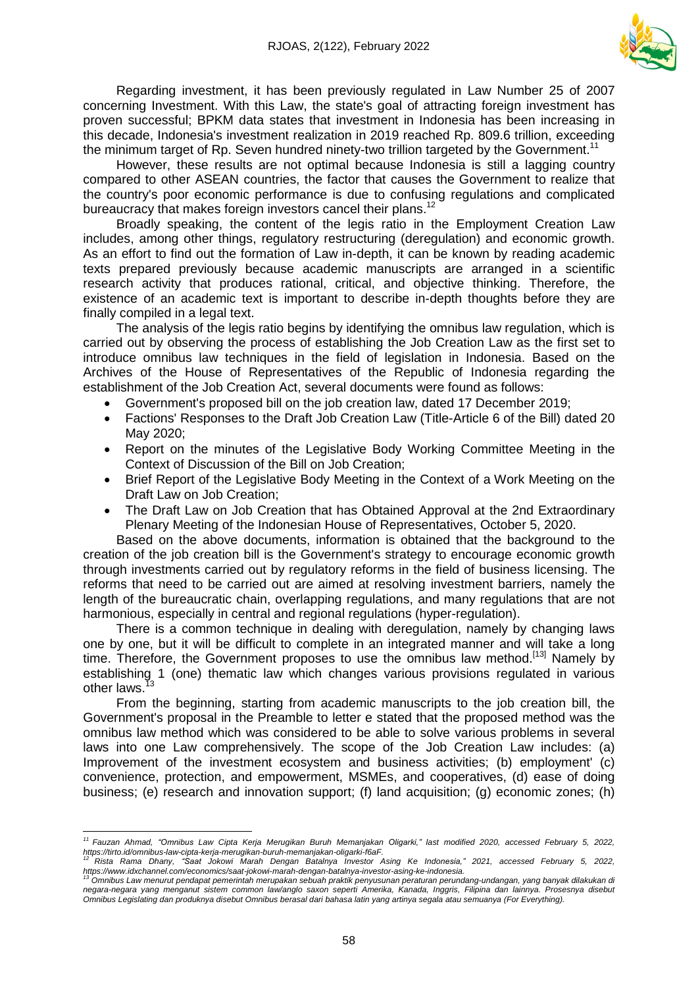

Regarding investment, it has been previously regulated in Law Number 25 of 2007 concerning Investment. With this Law, the state's goal of attracting foreign investment has proven successful; BPKM data states that investment in Indonesia has been increasing in this decade, Indonesia's investment realization in 2019 reached Rp. 809.6 trillion, exceeding the minimum target of Rp. Seven hundred ninety-two trillion targeted by the Government.<sup>11</sup>

However, these results are not optimal because Indonesia is still a lagging country compared to other ASEAN countries, the factor that causes the Government to realize that the country's poor economic performance is due to confusing regulations and complicated bureaucracy that makes foreign investors cancel their plans.<sup>12</sup>

Broadly speaking, the content of the legis ratio in the Employment Creation Law includes, among other things, regulatory restructuring (deregulation) and economic growth. As an effort to find out the formation of Law in-depth, it can be known by reading academic texts prepared previously because academic manuscripts are arranged in a scientific research activity that produces rational, critical, and objective thinking. Therefore, the existence of an academic text is important to describe in-depth thoughts before they are finally compiled in a legal text.

The analysis of the legis ratio begins by identifying the omnibus law regulation, which is carried out by observing the process of establishing the Job Creation Law as the first set to introduce omnibus law techniques in the field of legislation in Indonesia. Based on the Archives of the House of Representatives of the Republic of Indonesia regarding the establishment of the Job Creation Act, several documents were found as follows:

- Government's proposed bill on the job creation law, dated 17 December 2019;
- Factions' Responses to the Draft Job Creation Law (Title-Article 6 of the Bill) dated 20 May 2020;
- Report on the minutes of the Legislative Body Working Committee Meeting in the Context of Discussion of the Bill on Job Creation;
- Brief Report of the Legislative Body Meeting in the Context of a Work Meeting on the Draft Law on Job Creation;
- The Draft Law on Job Creation that has Obtained Approval at the 2nd Extraordinary Plenary Meeting of the Indonesian House of Representatives, October 5, 2020.

Based on the above documents, information is obtained that the background to the creation of the job creation bill is the Government's strategy to encourage economic growth through investments carried out by regulatory reforms in the field of business licensing. The reforms that need to be carried out are aimed at resolving investment barriers, namely the length of the bureaucratic chain, overlapping regulations, and many regulations that are not harmonious, especially in central and regional regulations (hyper-regulation).

There is a common technique in dealing with deregulation, namely by changing laws one by one, but it will be difficult to complete in an integrated manner and will take a long time. Therefore, the Government proposes to use the omnibus law method.<sup>[\[13\]](https://translate.googleusercontent.com/translate_f#_ftn13)</sup> Namely by establishing 1 (one) thematic law which changes various provisions regulated in various other laws.<sup>13</sup>

From the beginning, starting from academic manuscripts to the job creation bill, the Government's proposal in the Preamble to letter e stated that the proposed method was the omnibus law method which was considered to be able to solve various problems in several laws into one Law comprehensively. The scope of the Job Creation Law includes: (a) Improvement of the investment ecosystem and business activities; (b) employment' (c) convenience, protection, and empowerment, MSMEs, and cooperatives, (d) ease of doing business; (e) research and innovation support; (f) land acquisition; (g) economic zones; (h)

 $\overline{a}$ <sup>11</sup> Fauzan Ahmad, "Omnibus Law Cipta Kerja Merugikan Buruh Memanjakan Oligarki," last modified 2020, accessed February 5, 2022, *https://tirto.id/omnibus-law-cipta-kerja-merugikan-buruh-memanjakan-oligarki-f6aF.*

<sup>&</sup>lt;sup>12</sup> Rista Rama Dhany, "Saat Jokowi Marah Dengan Batalnya Investor Asing Ke Indonesia," 2021, accessed February 5, 2022, https://www.idxchannel.com/economics/saat-jokowi-marah-dengan-batalnya-investor-asing-ke-indonesia.<br><sup>13</sup> Omnibus Law menurut pendapat pemerintah merupakan sebuah praktik penyusunan peraturan perundang-undangan, yang banyak

negara-negara yang menganut sistem common law/anglo saxon seperti Amerika, Kanada, Inggris, Filipina dan lainnya. Prosesnya disebui Omnibus Legislating dan produknya disebut Omnibus berasal dari bahasa latin yang artinya segala atau semuanya (For Everything).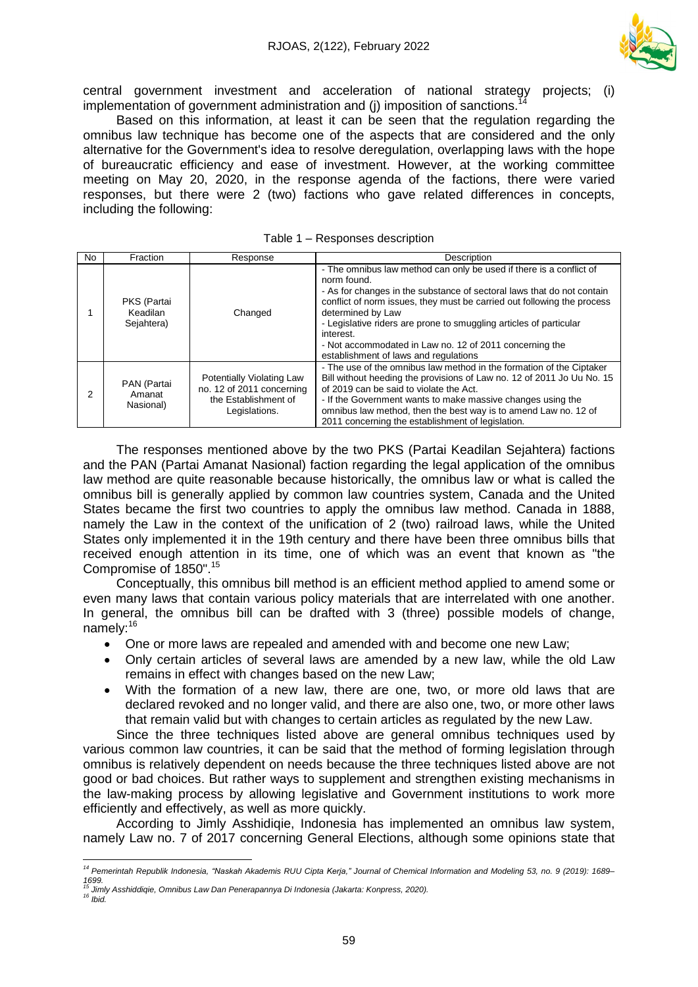

central government investment and acceleration of national strategy projects; (i) implementation of government administration and (i) imposition of sanctions.

Based on this information, at least it can be seen that the regulation regarding the omnibus law technique has become one of the aspects that are considered and the only alternative for the Government's idea to resolve deregulation, overlapping laws with the hope of bureaucratic efficiency and ease of investment. However, at the working committee meeting on May 20, 2020, in the response agenda of the factions, there were varied responses, but there were 2 (two) factions who gave related differences in concepts, including the following:

| No. | Fraction                              | Response                                                                                        | Description                                                                                                                                                                                                                                                                                                                                                                                                                                         |
|-----|---------------------------------------|-------------------------------------------------------------------------------------------------|-----------------------------------------------------------------------------------------------------------------------------------------------------------------------------------------------------------------------------------------------------------------------------------------------------------------------------------------------------------------------------------------------------------------------------------------------------|
|     | PKS (Partai<br>Keadilan<br>Sejahtera) | Changed                                                                                         | - The omnibus law method can only be used if there is a conflict of<br>norm found.<br>- As for changes in the substance of sectoral laws that do not contain<br>conflict of norm issues, they must be carried out following the process<br>determined by Law<br>- Legislative riders are prone to smuggling articles of particular<br>interest.<br>- Not accommodated in Law no. 12 of 2011 concerning the<br>establishment of laws and regulations |
| 2   | PAN (Partai<br>Amanat<br>Nasional)    | Potentially Violating Law<br>no. 12 of 2011 concerning<br>the Establishment of<br>Legislations. | - The use of the omnibus law method in the formation of the Ciptaker<br>Bill without heeding the provisions of Law no. 12 of 2011 Jo Uu No. 15<br>of 2019 can be said to violate the Act.<br>- If the Government wants to make massive changes using the<br>omnibus law method, then the best way is to amend Law no. 12 of<br>2011 concerning the establishment of legislation.                                                                    |

Table 1 – Responses description

The responses mentioned above by the two PKS (Partai Keadilan Sejahtera) factions and the PAN (Partai Amanat Nasional) faction regarding the legal application of the omnibus law method are quite reasonable because historically, the omnibus law or what is called the omnibus bill is generally applied by common law countries system, Canada and the United States became the first two countries to apply the omnibus law method. Canada in 1888, namely the Law in the context of the unification of 2 (two) railroad laws, while the United States only implemented it in the 19th century and there have been three omnibus bills that received enough attention in its time, one of which was an event that known as "the Compromise of 1850". 15

Conceptually, this omnibus bill method is an efficient method applied to amend some or even many laws that contain various policy materials that are interrelated with one another. In general, the omnibus bill can be drafted with 3 (three) possible models of change, namely:<sup>16</sup>

- One or more laws are repealed and amended with and become one new Law;
- Only certain articles of several laws are amended by a new law, while the old Law remains in effect with changes based on the new Law;
- With the formation of a new law, there are one, two, or more old laws that are declared revoked and no longer valid, and there are also one, two, or more other laws that remain valid but with changes to certain articles as regulated by the new Law.

Since the three techniques listed above are general omnibus techniques used by various common law countries, it can be said that the method of forming legislation through omnibus is relatively dependent on needs because the three techniques listed above are not good or bad choices. But rather ways to supplement and strengthen existing mechanisms in the law-making process by allowing legislative and Government institutions to work more efficiently and effectively, as well as more quickly.

According to Jimly Asshidiqie, Indonesia has implemented an omnibus law system, namely Law no. 7 of 2017 concerning General Elections, although some opinions state that

l

<sup>&</sup>lt;sup>14</sup> Pemerintah Republik Indonesia, "Naskah Akademis RUU Cipta Kerja," Journal of Chemical Information and Modeling 53, no. 9 (2019): 1689-*1699. <sup>15</sup> Jimly Asshiddiqie, Omnibus Law Dan Penerapannya Di Indonesia (Jakarta: Konpress, 2020).*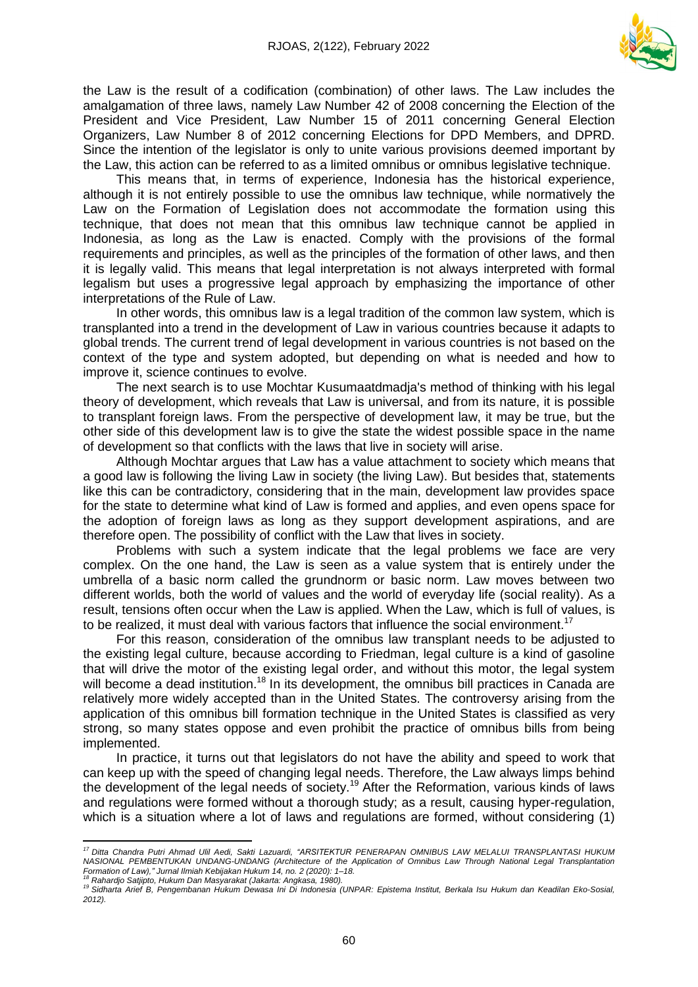

the Law is the result of a codification (combination) of other laws. The Law includes the amalgamation of three laws, namely Law Number 42 of 2008 concerning the Election of the President and Vice President, Law Number 15 of 2011 concerning General Election Organizers, Law Number 8 of 2012 concerning Elections for DPD Members, and DPRD. Since the intention of the legislator is only to unite various provisions deemed important by the Law, this action can be referred to as a limited omnibus or omnibus legislative technique.

This means that, in terms of experience, Indonesia has the historical experience, although it is not entirely possible to use the omnibus law technique, while normatively the Law on the Formation of Legislation does not accommodate the formation using this technique, that does not mean that this omnibus law technique cannot be applied in Indonesia, as long as the Law is enacted. Comply with the provisions of the formal requirements and principles, as well as the principles of the formation of other laws, and then it is legally valid. This means that legal interpretation is not always interpreted with formal legalism but uses a progressive legal approach by emphasizing the importance of other interpretations of the Rule of Law.

In other words, this omnibus law is a legal tradition of the common law system, which is transplanted into a trend in the development of Law in various countries because it adapts to global trends. The current trend of legal development in various countries is not based on the context of the type and system adopted, but depending on what is needed and how to improve it, science continues to evolve.

The next search is to use Mochtar Kusumaatdmadja's method of thinking with his legal theory of development, which reveals that Law is universal, and from its nature, it is possible to transplant foreign laws. From the perspective of development law, it may be true, but the other side of this development law is to give the state the widest possible space in the name of development so that conflicts with the laws that live in society will arise.

Although Mochtar argues that Law has a value attachment to society which means that a good law is following the living Law in society (the living Law). But besides that, statements like this can be contradictory, considering that in the main, development law provides space for the state to determine what kind of Law is formed and applies, and even opens space for the adoption of foreign laws as long as they support development aspirations, and are therefore open. The possibility of conflict with the Law that lives in society.

Problems with such a system indicate that the legal problems we face are very complex. On the one hand, the Law is seen as a value system that is entirely under the umbrella of a basic norm called the grundnorm or basic norm. Law moves between two different worlds, both the world of values and the world of everyday life (social reality). As a result, tensions often occur when the Law is applied. When the Law, which is full of values, is to be realized, it must deal with various factors that influence the social environment.<sup>17</sup>

For this reason, consideration of the omnibus law transplant needs to be adjusted to the existing legal culture, because according to Friedman, legal culture is a kind of gasoline that will drive the motor of the existing legal order, and without this motor, the legal system will become a dead institution.<sup>18</sup> In its development, the omnibus bill practices in Canada are relatively more widely accepted than in the United States. The controversy arising from the application of this omnibus bill formation technique in the United States is classified as very strong, so many states oppose and even prohibit the practice of omnibus bills from being implemented.

In practice, it turns out that legislators do not have the ability and speed to work that can keep up with the speed of changing legal needs. Therefore, the Law always limps behind the development of the legal needs of society.<sup>19</sup> After the Reformation, various kinds of laws and regulations were formed without a thorough study; as a result, causing hyper-regulation, which is a situation where a lot of laws and regulations are formed, without considering (1)

 $\overline{\phantom{a}}$ 

<sup>&</sup>lt;sup>17</sup> Ditta Chandra Putri Ahmad Ulil Aedi, Sakti Lazuardi, "ARSITEKTUR PENERAPAN OMNIBUS LAW MELALUI TRANSPLANTASI HUKUM *NASIONAL PEMBENTUKAN UNDANG-UNDANG (Architecture of the Application of Omnibus Law Through National Legal Transplantation Formation of Law)," Jurnal Ilmiah Kebijakan Hukum 14, no. 2 (2020): 1–18.*

*<sup>18</sup> Rahardjo Satjipto, Hukum Dan Masyarakat (Jakarta: Angkasa, 1980).*

<sup>19</sup> Sidharta Arief B, Pengembanan Hukum Dewasa Ini Di Indonesia (UNPAR: Epistema Institut, Berkala Isu Hukum dan Keadilan Eko-Sosial, *2012).*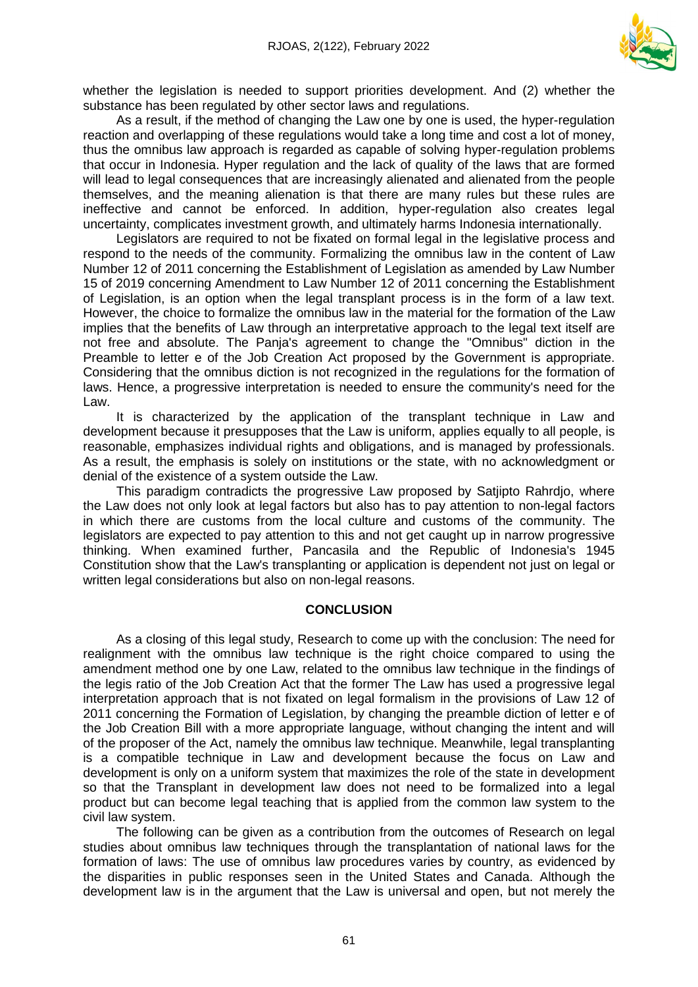

whether the legislation is needed to support priorities development. And (2) whether the substance has been regulated by other sector laws and regulations.

As a result, if the method of changing the Law one by one is used, the hyper-regulation reaction and overlapping of these regulations would take a long time and cost a lot of money, thus the omnibus law approach is regarded as capable of solving hyper-regulation problems that occur in Indonesia. Hyper regulation and the lack of quality of the laws that are formed will lead to legal consequences that are increasingly alienated and alienated from the people themselves, and the meaning alienation is that there are many rules but these rules are ineffective and cannot be enforced. In addition, hyper-regulation also creates legal uncertainty, complicates investment growth, and ultimately harms Indonesia internationally.

Legislators are required to not be fixated on formal legal in the legislative process and respond to the needs of the community. Formalizing the omnibus law in the content of Law Number 12 of 2011 concerning the Establishment of Legislation as amended by Law Number 15 of 2019 concerning Amendment to Law Number 12 of 2011 concerning the Establishment of Legislation, is an option when the legal transplant process is in the form of a law text. However, the choice to formalize the omnibus law in the material for the formation of the Law implies that the benefits of Law through an interpretative approach to the legal text itself are not free and absolute. The Panja's agreement to change the "Omnibus" diction in the Preamble to letter e of the Job Creation Act proposed by the Government is appropriate. Considering that the omnibus diction is not recognized in the regulations for the formation of laws. Hence, a progressive interpretation is needed to ensure the community's need for the Law.

It is characterized by the application of the transplant technique in Law and development because it presupposes that the Law is uniform, applies equally to all people, is reasonable, emphasizes individual rights and obligations, and is managed by professionals. As a result, the emphasis is solely on institutions or the state, with no acknowledgment or denial of the existence of a system outside the Law.

This paradigm contradicts the progressive Law proposed by Satjipto Rahrdjo, where the Law does not only look at legal factors but also has to pay attention to non-legal factors in which there are customs from the local culture and customs of the community. The legislators are expected to pay attention to this and not get caught up in narrow progressive thinking. When examined further, Pancasila and the Republic of Indonesia's 1945 Constitution show that the Law's transplanting or application is dependent not just on legal or written legal considerations but also on non-legal reasons.

#### **CONCLUSION**

As a closing of this legal study, Research to come up with the conclusion: The need for realignment with the omnibus law technique is the right choice compared to using the amendment method one by one Law, related to the omnibus law technique in the findings of the legis ratio of the Job Creation Act that the former The Law has used a progressive legal interpretation approach that is not fixated on legal formalism in the provisions of Law 12 of 2011 concerning the Formation of Legislation, by changing the preamble diction of letter e of the Job Creation Bill with a more appropriate language, without changing the intent and will of the proposer of the Act, namely the omnibus law technique. Meanwhile, legal transplanting is a compatible technique in Law and development because the focus on Law and development is only on a uniform system that maximizes the role of the state in development so that the Transplant in development law does not need to be formalized into a legal product but can become legal teaching that is applied from the common law system to the civil law system.

The following can be given as a contribution from the outcomes of Research on legal studies about omnibus law techniques through the transplantation of national laws for the formation of laws: The use of omnibus law procedures varies by country, as evidenced by the disparities in public responses seen in the United States and Canada. Although the development law is in the argument that the Law is universal and open, but not merely the